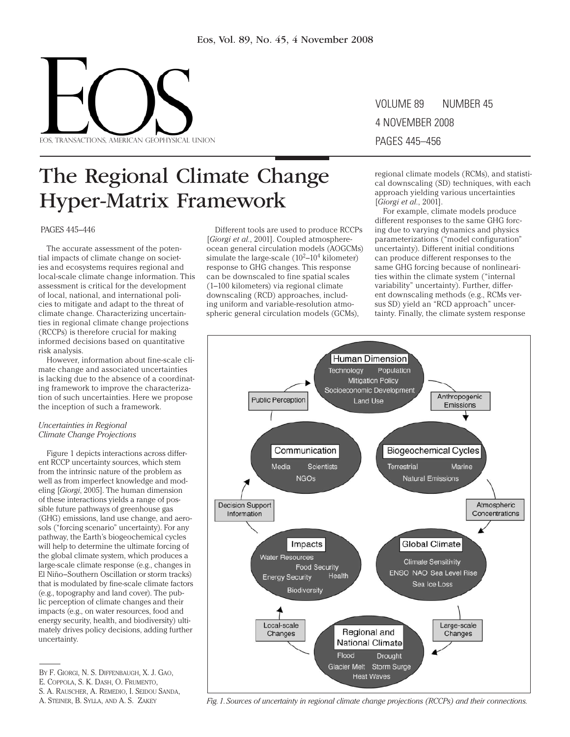

# Volume 89 number 45 4 November 2008 pages 445–456

# The Regional Climate Change Hyper-Matrix Framework

PAGES 445–446

The accurate assessment of the potential impacts of climate change on societies and ecosystems requires regional and local-scale climate change information. This assessment is critical for the development of local, national, and international policies to mitigate and adapt to the threat of climate change. Characterizing uncertainties in regional climate change projections (RCCPs) is therefore crucial for making informed decisions based on quantitative risk analysis.

However, information about fine-scale climate change and associated uncertainties is lacking due to the absence of a coordinating framework to improve the characterization of such uncertainties. Here we propose the inception of such a framework.

## *Uncertainties in Regional Climate Change Projections*

Figure 1 depicts interactions across different RCCP uncertainty sources, which stem from the intrinsic nature of the problem as well as from imperfect knowledge and modeling [*Giorgi*, 2005]. The human dimension of these interactions yields a range of possible future pathways of greenhouse gas (GHG) emissions, land use change, and aerosols ("forcing scenario" uncertainty). For any pathway, the Earth's biogeochemical cycles will help to determine the ultimate forcing of the global climate system, which produces a large-scale climate response (e.g., changes in El Niño–Southern Oscillation or storm tracks) that is modulated by fine-scale climate factors (e.g., topography and land cover). The public perception of climate changes and their impacts (e.g., on water resources, food and energy security, health, and biodiversity) ultimately drives policy decisions, adding further uncertainty.

S. A. Rauscher, A. Remedio, I. Seidou Sanda,

Different tools are used to produce RCCPs [*Giorgi et al.*, 2001]. Coupled atmosphereocean general circulation models (AOGCMs) simulate the large-scale  $(10^2-10^4 \text{ kilometer})$ response to GHG changes. This response can be downscaled to fine spatial scales (1–100 kilometers) via regional climate downscaling (RCD) approaches, including uniform and variable-resolution atmospheric general circulation models (GCMs),

regional climate models (RCMs), and statistical downscaling (SD) techniques, with each approach yielding various uncertainties [*Giorgi et al.*, 2001].

For example, climate models produce different responses to the same GHG forcing due to varying dynamics and physics parameterizations ("model configuration" uncertainty). Different initial conditions can produce different responses to the same GHG forcing because of nonlinearities within the climate system ("internal variability" uncertainty). Further, different downscaling methods (e.g., RCMs versus SD) yield an "RCD approach" uncertainty. Finally, the climate system response



A. Steiner, B. Sylla, and A. S. Zakey *Fig. 1. Sources of uncertainty in regional climate change projections (RCCPs) and their connections.*

By F. Giorgi, N. S. Diffenbaugh, X. J. Gao,

E. Coppola, S. K. Dash, O. Frumento,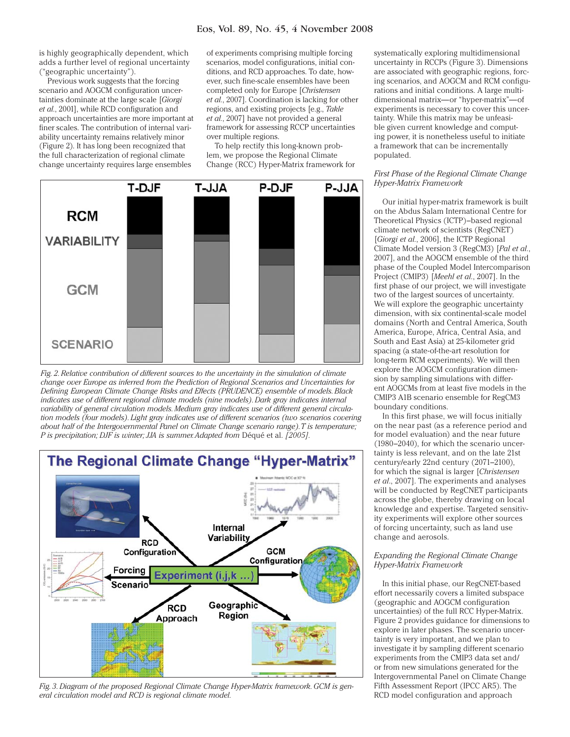is highly geographically dependent, which adds a further level of regional uncertainty ("geographic uncertainty").

Previous work suggests that the forcing scenario and AOGCM configuration uncertainties dominate at the large scale [*Giorgi et al.*, 2001], while RCD configuration and approach uncertainties are more important at finer scales. The contribution of internal variability uncertainty remains relatively minor (Figure 2). It has long been recognized that the full characterization of regional climate change uncertainty requires large ensembles

of experiments comprising multiple forcing scenarios, model configurations, initial conditions, and RCD approaches. To date, however, such fine-scale ensembles have been completed only for Europe [*Christensen et al.*, 2007]. Coordination is lacking for other regions, and existing projects [e.g., *Takle et al.*, 2007] have not provided a general framework for assessing RCCP uncertainties over multiple regions.

To help rectify this long-known problem, we propose the Regional Climate Change (RCC) Hyper-Matrix framework for



*Fig. 2. Relative contribution of different sources to the uncertainty in the simulation of climate change over Europe as inferred from the Prediction of Regional Scenarios and Uncertainties for Defining European Climate Change Risks and Effects (PRUDENCE) ensemble of models. Black indicates use of different regional climate models (nine models). Dark gray indicates internal variability of general circulation models. Medium gray indicates use of different general circulation models (four models). Light gray indicates use of different scenarios (two scenarios covering about half of the Intergovernmental Panel on Climate Change scenario range). T is temperature; P* is precipitation; DJF is winter; JJA is summer. Adapted from Déqué et al. [2005].



*Fig. 3. Diagram of the proposed Regional Climate Change Hyper-Matrix framework. GCM is general circulation model and RCD is regional climate model.*

systematically exploring multidimensional uncertainty in RCCPs (Figure 3). Dimensions are associated with geographic regions, forcing scenarios, and AOGCM and RCM configurations and initial conditions. A large multidimensional matrix—or "hyper-matrix"—of experiments is necessary to cover this uncertainty. While this matrix may be unfeasible given current knowledge and computing power, it is nonetheless useful to initiate a framework that can be incrementally populated.

## *First Phase of the Regional Climate Change Hyper-Matrix Framework*

Our initial hyper-matrix framework is built on the Abdus Salam International Centre for Theoretical Physics (ICTP)–based regional climate network of scientists (RegCNET) [*Giorgi et al.*, 2006], the ICTP Regional Climate Model version 3 (RegCM3) [*Pal et al.*, 2007], and the AOGCM ensemble of the third phase of the Coupled Model Intercomparison Project (CMIP3) [*Meehl et al.*, 2007]. In the first phase of our project, we will investigate two of the largest sources of uncertainty. We will explore the geographic uncertainty dimension, with six continental-scale model domains (North and Central America, South America, Europe, Africa, Central Asia, and South and East Asia) at 25-kilometer grid spacing (a state-of-the-art resolution for long-term RCM experiments). We will then explore the AOGCM configuration dimension by sampling simulations with different AOGCMs from at least five models in the CMIP3 A1B scenario ensemble for RegCM3 boundary conditions.

In this first phase, we will focus initially on the near past (as a reference period and for model evaluation) and the near future (1980–2040), for which the scenario uncertainty is less relevant, and on the late 21st century/early 22nd century (2071–2100), for which the signal is larger [*Christensen et al*., 2007]. The experiments and analyses will be conducted by RegCNET participants across the globe, thereby drawing on local knowledge and expertise. Targeted sensitivity experiments will explore other sources of forcing uncertainty, such as land use change and aerosols.

#### *Expanding the Regional Climate Change Hyper-Matrix Framework*

In this initial phase, our RegCNET-based effort necessarily covers a limited subspace (geographic and AOGCM configuration uncertainties) of the full RCC Hyper-Matrix. Figure 2 provides guidance for dimensions to explore in later phases. The scenario uncertainty is very important, and we plan to investigate it by sampling different scenario experiments from the CMIP3 data set and/ or from new simulations generated for the Intergovernmental Panel on Climate Change Fifth Assessment Report (IPCC AR5). The RCD model configuration and approach